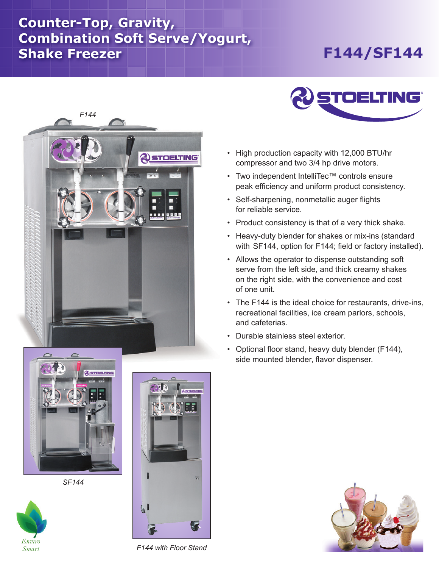## **Counter-Top, Gravity, Combination Soft Serve/Yogurt, Shake Freezer**

## **F144/SF144**





- High production capacity with 12,000 BTU/hr compressor and two 3/4 hp drive motors.
- Two independent IntelliTec™ controls ensure peak efficiency and uniform product consistency.
- Self-sharpening, nonmetallic auger flights for reliable service.
- Product consistency is that of a very thick shake.
- Heavy-duty blender for shakes or mix-ins (standard with SF144, option for F144; field or factory installed).
- Allows the operator to dispense outstanding soft serve from the left side, and thick creamy shakes on the right side, with the convenience and cost of one unit.
- The F144 is the ideal choice for restaurants, drive-ins, recreational facilities, ice cream parlors, schools, and cafeterias.
- Durable stainless steel exterior.
- Optional floor stand, heavy duty blender (F144), side mounted blender, flavor dispenser.



*SF144*





*F144 with Floor Stand*